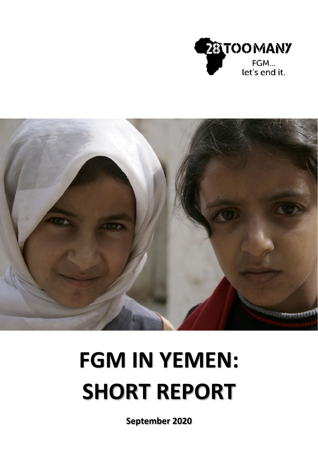



# **FGM IN YEMEN: SHORT REPORT**

**September 2020**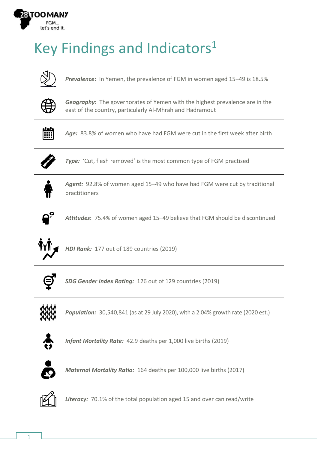

# Key Findings and Indicators<sup>1</sup>



*Prevalence***:** In Yemen, the prevalence of FGM in women aged 15–49 is 18.5%



*Geography***:** The governorates of Yemen with the highest prevalence are in the east of the country, particularly Al-Mhrah and Hadramout



*Age:* 83.8% of women who have had FGM were cut in the first week after birth



*Type:* 'Cut, flesh removed' is the most common type of FGM practised



*Agent:* 92.8% of women aged 15–49 who have had FGM were cut by traditional practitioners



*Attitudes***:** 75.4% of women aged 15–49 believe that FGM should be discontinued



*HDI Rank:* 177 out of 189 countries (2019)



*SDG Gender Index Rating:* 126 out of 129 countries (2019)



*Population:* 30,540,841 (as at 29 July 2020), with a 2.04% growth rate (2020 est.)



*Infant Mortality Rate:* 42.9 deaths per 1,000 live births (2019)



*Maternal Mortality Ratio:* 164 deaths per 100,000 live births (2017)



*Literacy:* 70.1% of the total population aged 15 and over can read/write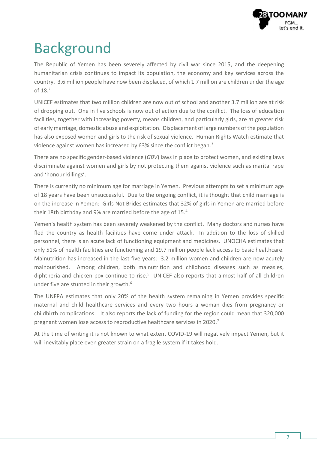

# Background

The Republic of Yemen has been severely affected by civil war since 2015, and the deepening humanitarian crisis continues to impact its population, the economy and key services across the country. 3.6 million people have now been displaced, of which 1.7 million are children under the age of 18.<sup>2</sup>

UNICEF estimates that two million children are now out of school and another 3.7 million are at risk of dropping out. One in five schools is now out of action due to the conflict. The loss of education facilities, together with increasing poverty, means children, and particularly girls, are at greater risk of early marriage, domestic abuse and exploitation. Displacement of large numbers of the population has also exposed women and girls to the risk of sexual violence. Human Rights Watch estimate that violence against women has increased by 63% since the conflict began.<sup>3</sup>

There are no specific gender-based violence (*GBV*) laws in place to protect women, and existing laws discriminate against women and girls by not protecting them against violence such as marital rape and 'honour killings'.

There is currently no minimum age for marriage in Yemen. Previous attempts to set a minimum age of 18 years have been unsuccessful. Due to the ongoing conflict, it is thought that child marriage is on the increase in Yemen: Girls Not Brides estimates that 32% of girls in Yemen are married before their 18th birthday and 9% are married before the age of 15.<sup>4</sup>

Yemen's health system has been severely weakened by the conflict. Many doctors and nurses have fled the country as health facilities have come under attack. In addition to the loss of skilled personnel, there is an acute lack of functioning equipment and medicines. UNOCHA estimates that only 51% of health facilities are functioning and 19.7 million people lack access to basic healthcare. Malnutrition has increased in the last five years: 3.2 million women and children are now acutely malnourished. Among children, both malnutrition and childhood diseases such as measles, diphtheria and chicken pox continue to rise.<sup>5</sup> UNICEF also reports that almost half of all children under five are stunted in their growth. 6

The UNFPA estimates that only 20% of the health system remaining in Yemen provides specific maternal and child healthcare services and every two hours a woman dies from pregnancy or childbirth complications. It also reports the lack of funding for the region could mean that 320,000 pregnant women lose access to reproductive healthcare services in 2020.<sup>7</sup>

At the time of writing it is not known to what extent COVID-19 will negatively impact Yemen, but it will inevitably place even greater strain on a fragile system if it takes hold.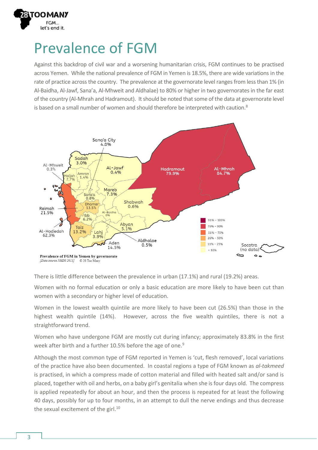

#### Prevalence of FGM

Against this backdrop of civil war and a worsening humanitarian crisis, FGM continues to be practised across Yemen. While the national prevalence of FGM in Yemen is 18.5%, there are wide variations in the rate of practice across the country. The prevalence at the governorate level ranges from less than 1% (in Al-Baidha, Al-Jawf, Sana'a, Al-Mhweit and Aldhalae) to 80% or higher in two governorates in the far east of the country (Al-Mhrah and Hadramout). It should be noted that some of the data at governorate level is based on a small number of women and should therefore be interpreted with caution.<sup>8</sup>



There is little difference between the prevalence in urban (17.1%) and rural (19.2%) areas.

Women with no formal education or only a basic education are more likely to have been cut than women with a secondary or higher level of education.

Women in the lowest wealth quintile are more likely to have been cut (26.5%) than those in the highest wealth quintile (14%). However, across the five wealth quintiles, there is not a straightforward trend.

Women who have undergone FGM are mostly cut during infancy; approximately 83.8% in the first week after birth and a further 10.5% before the age of one.<sup>9</sup>

Although the most common type of FGM reported in Yemen is 'cut, flesh removed', local variations of the practice have also been documented. In coastal regions a type of FGM known as *al-takmeed* is practised, in which a compress made of cotton material and filled with heated salt and/or sand is placed, together with oil and herbs, on a baby girl's genitalia when she is four days old. The compress is applied repeatedly for about an hour, and then the process is repeated for at least the following 40 days, possibly for up to four months, in an attempt to dull the nerve endings and thus decrease the sexual excitement of the girl. $10$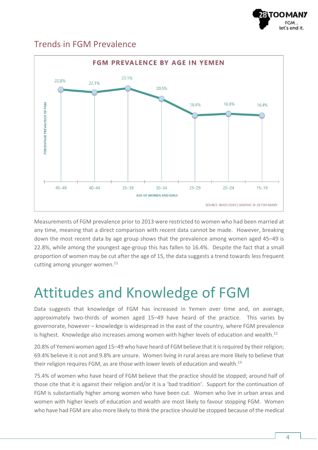

#### Trends in FGM Prevalence



Measurements of FGM prevalence prior to 2013 were restricted to women who had been married at any time, meaning that a direct comparison with recent data cannot be made. However, breaking down the most recent data by age group shows that the prevalence among women aged 45–49 is 22.8%, while among the youngest age-group this has fallen to 16.4%. Despite the fact that a small proportion of women may be cut after the age of 15, the data suggests a trend towards less frequent cutting among younger women. $11$ 

### Attitudes and Knowledge of FGM

Data suggests that knowledge of FGM has increased in Yemen over time and, on average, approximately two-thirds of women aged 15–49 have heard of the practice. This varies by governorate, however – knowledge is widespread in the east of the country, where FGM prevalence is highest. Knowledge also increases among women with higher levels of education and wealth.<sup>12</sup>

20.8% of Yemeni women aged 15–49 who have heard of FGM believe that it is required by their religion; 69.4% believe it is not and 9.8% are unsure. Women living in rural areas are more likely to believe that their religion requires FGM, as are those with lower levels of education and wealth.<sup>13</sup>

75.4% of women who have heard of FGM believe that the practice should be stopped; around half of those cite that it is against their religion and/or it is a 'bad tradition'. Support for the continuation of FGM is substantially higher among women who have been cut. Women who live in urban areas and women with higher levels of education and wealth are most likely to favour stopping FGM. Women who have had FGM are also more likely to think the practice should be stopped because of the medical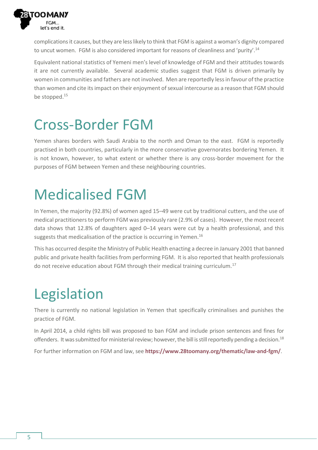

complications it causes, but they are less likely to think that FGM is against a woman's dignity compared to uncut women. FGM is also considered important for reasons of cleanliness and 'purity'.<sup>14</sup>

Equivalent national statistics of Yemeni men's level of knowledge of FGM and their attitudes towards it are not currently available. Several academic studies suggest that FGM is driven primarily by women in communities and fathers are not involved. Men are reportedly less in favour of the practice than women and cite its impact on their enjoyment of sexual intercourse as a reason that FGM should be stopped.<sup>15</sup>

#### Cross-Border FGM

Yemen shares borders with Saudi Arabia to the north and Oman to the east. FGM is reportedly practised in both countries, particularly in the more conservative governorates bordering Yemen. It is not known, however, to what extent or whether there is any cross-border movement for the purposes of FGM between Yemen and these neighbouring countries.

# Medicalised FGM

In Yemen, the majority (92.8%) of women aged 15–49 were cut by traditional cutters, and the use of medical practitioners to perform FGM was previously rare (2.9% of cases). However, the most recent data shows that 12.8% of daughters aged 0–14 years were cut by a health professional, and this suggests that medicalisation of the practice is occurring in Yemen.<sup>16</sup>

This has occurred despite the Ministry of Public Health enacting a decree in January 2001 that banned public and private health facilities from performing FGM. It is also reported that health professionals do not receive education about FGM through their medical training curriculum.<sup>17</sup>

# Legislation

There is currently no national legislation in Yemen that specifically criminalises and punishes the practice of FGM.

In April 2014, a child rights bill was proposed to ban FGM and include prison sentences and fines for offenders. It was submitted for ministerial review; however, the bill is still reportedly pending a decision.<sup>18</sup>

For further information on FGM and law, see **<https://www.28toomany.org/thematic/law-and-fgm/>**.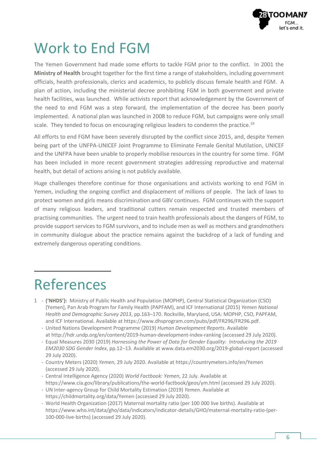

#### Work to End FGM

The Yemen Government had made some efforts to tackle FGM prior to the conflict. In 2001 the **Ministry of Health** brought together for the first time a range of stakeholders, including government officials, health professionals, clerics and academics, to publicly discuss female health and FGM. A plan of action, including the ministerial decree prohibiting FGM in both government and private health facilities, was launched. While activists report that acknowledgement by the Government of the need to end FGM was a step forward, the implementation of the decree has been poorly implemented. A national plan was launched in 2008 to reduce FGM, but campaigns were only small scale. They tended to focus on encouraging religious leaders to condemn the practice.<sup>19</sup>

All efforts to end FGM have been severely disrupted by the conflict since 2015, and, despite Yemen being part of the UNFPA-UNICEF Joint Programme to Eliminate Female Genital Mutilation, UNICEF and the UNFPA have been unable to properly mobilise resources in the country for some time. FGM has been included in more recent government strategies addressing reproductive and maternal health, but detail of actions arising is not publicly available.

Huge challenges therefore continue for those organisations and activists working to end FGM in Yemen, including the ongoing conflict and displacement of millions of people. The lack of laws to protect women and girls means discrimination and GBV continues. FGM continues with the support of many religious leaders, and traditional cutters remain respected and trusted members of practising communities. The urgent need to train health professionals about the dangers of FGM, to provide support services to FGM survivors, and to include men as well as mothers and grandmothers in community dialogue about the practice remains against the backdrop of a lack of funding and extremely dangerous operating conditions.

### References

- 1 **('NHDS'):** Ministry of Public Health and Population (MOPHP), Central Statistical Organization (CSO) [Yemen], Pan Arab Program for Family Health (PAPFAM), and ICF International (2015) *Yemen National Health and Demographic Survey 2013*, pp.163–170. Rockville, Maryland, USA: MOPHP, CSO, PAPFAM, and ICF International. Available a[t https://www.dhsprogram.com/pubs/pdf/FR296/FR296.pdf.](https://www.dhsprogram.com/pubs/pdf/FR296/FR296.pdf) - United Nations Development Programme (2019) *Human Development Reports*. Available
	- at <http://hdr.undp.org/en/content/2019-human-development-index-ranking> (accessed 29 July 2020).
	- Equal Measures 2030 (2019) *Harnessing the Power of Data for Gender Equality: Introducing the 2019 EM2030 SDG Gender Index*, pp.12–13. Available at [www.data.em2030.org/2019-global-report](http://www.data.em2030.org/2019-global-report) (accessed 29 July 2020).
	- Country Meters (2020) *Yemen*, 29 July 2020. Available at <https://countrymeters.info/en/Yemen> (accessed 29 July 2020).
	- Central Intelligence Agency (2020) *World Factbook: Yemen*, 22 July. Available at <https://www.cia.gov/library/publications/the-world-factbook/geos/ym.html> (accessed 29 July 2020).
	- UN Inter-agency Group for Child Mortality Estimation (2019) *Yemen*. Available at <https://childmortality.org/data/Yemen> (accessed 29 July 2020).
	- World Health Organization (2017) Maternal mortality ratio (per 100 000 live births). Available at [https://www.who.int/data/gho/data/indicators/indicator-details/GHO/maternal-mortality-ratio-\(per-](https://www.who.int/data/gho/data/indicators/indicator-details/GHO/maternal-mortality-ratio-(per-100-000-live-births))[100-000-live-births\)](https://www.who.int/data/gho/data/indicators/indicator-details/GHO/maternal-mortality-ratio-(per-100-000-live-births)) (accessed 29 July 2020).